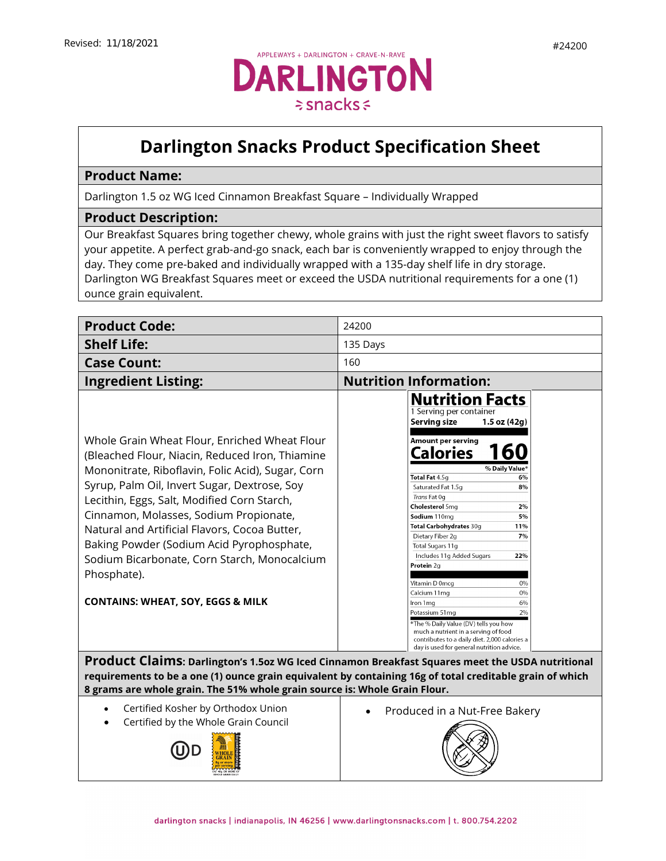

## **Darlington Snacks Product Specification Sheet**

## **Product Name:**

Darlington 1.5 oz WG Iced Cinnamon Breakfast Square – Individually Wrapped

## **Product Description:**

Our Breakfast Squares bring together chewy, whole grains with just the right sweet flavors to satisfy your appetite. A perfect grab-and-go snack, each bar is conveniently wrapped to enjoy through the day. They come pre-baked and individually wrapped with a 135-day shelf life in dry storage. Darlington WG Breakfast Squares meet or exceed the USDA nutritional requirements for a one (1) ounce grain equivalent.

| <b>Product Code:</b>                                                                                                                                                                                                                                                                                                                                                                                                                                                                                        | 24200                                                                                                                                                                                                                                                                                                                                                                                                                                                                                                                                                                                                                                                                                      |
|-------------------------------------------------------------------------------------------------------------------------------------------------------------------------------------------------------------------------------------------------------------------------------------------------------------------------------------------------------------------------------------------------------------------------------------------------------------------------------------------------------------|--------------------------------------------------------------------------------------------------------------------------------------------------------------------------------------------------------------------------------------------------------------------------------------------------------------------------------------------------------------------------------------------------------------------------------------------------------------------------------------------------------------------------------------------------------------------------------------------------------------------------------------------------------------------------------------------|
| <b>Shelf Life:</b>                                                                                                                                                                                                                                                                                                                                                                                                                                                                                          | 135 Days                                                                                                                                                                                                                                                                                                                                                                                                                                                                                                                                                                                                                                                                                   |
| <b>Case Count:</b>                                                                                                                                                                                                                                                                                                                                                                                                                                                                                          | 160                                                                                                                                                                                                                                                                                                                                                                                                                                                                                                                                                                                                                                                                                        |
| <b>Ingredient Listing:</b>                                                                                                                                                                                                                                                                                                                                                                                                                                                                                  | <b>Nutrition Information:</b>                                                                                                                                                                                                                                                                                                                                                                                                                                                                                                                                                                                                                                                              |
| Whole Grain Wheat Flour, Enriched Wheat Flour<br>(Bleached Flour, Niacin, Reduced Iron, Thiamine<br>Mononitrate, Riboflavin, Folic Acid), Sugar, Corn<br>Syrup, Palm Oil, Invert Sugar, Dextrose, Soy<br>Lecithin, Eggs, Salt, Modified Corn Starch,<br>Cinnamon, Molasses, Sodium Propionate,<br>Natural and Artificial Flavors, Cocoa Butter,<br>Baking Powder (Sodium Acid Pyrophosphate,<br>Sodium Bicarbonate, Corn Starch, Monocalcium<br>Phosphate).<br><b>CONTAINS: WHEAT, SOY, EGGS &amp; MILK</b> | <b>Nutrition Facts</b><br>1 Serving per container<br><b>Serving size</b><br>$1.5$ oz $(42g)$<br>Amount per serving<br>160<br>Calories<br>% Daily Value<br>Total Fat 4.5g<br>6%<br>Saturated Fat 1.5q<br>8%<br>Trans Fat 0q<br><b>Cholesterol 5mg</b><br>2%<br>Sodium 110mg<br>5%<br>Total Carbohydrates 30g<br>11%<br>Dietary Fiber 2g<br>7%<br>Total Sugars 11g<br>Includes 11g Added Sugars<br>22%<br>Protein 2g<br>Vitamin D 0mcg<br>0%<br>Calcium 11mg<br>0%<br>Iron 1 mg<br>6%<br>2%<br>Potassium 51mg<br>*The % Daily Value (DV) tells you how<br>much a nutrient in a serving of food<br>contributes to a daily diet. 2,000 calories a<br>day is used for general nutrition advice. |
| <b>Product Claims: Darlington's 1.50z WG Iced Cinnamon Breakfast Squares meet the USDA nutritional</b><br>requirements to be a one (1) ounce grain equivalent by containing 16g of total creditable grain of which<br>8 grams are whole grain. The 51% whole grain source is: Whole Grain Flour.                                                                                                                                                                                                            |                                                                                                                                                                                                                                                                                                                                                                                                                                                                                                                                                                                                                                                                                            |

- Certified Kosher by Orthodox Union
- Certified by the Whole Grain Council



• [Produced](https://darlingtonfarms.serverdata.net/Marketing/Product/Internal%20Spec%20Sheets%20DO%20NOT%20USE!/Vending%20Appleways%20Spec%20Sheet%20-%2070120%20-%201%202%20oz%20-%20Apple%20Oatmeal.doc) in a Nut-Free Bakery